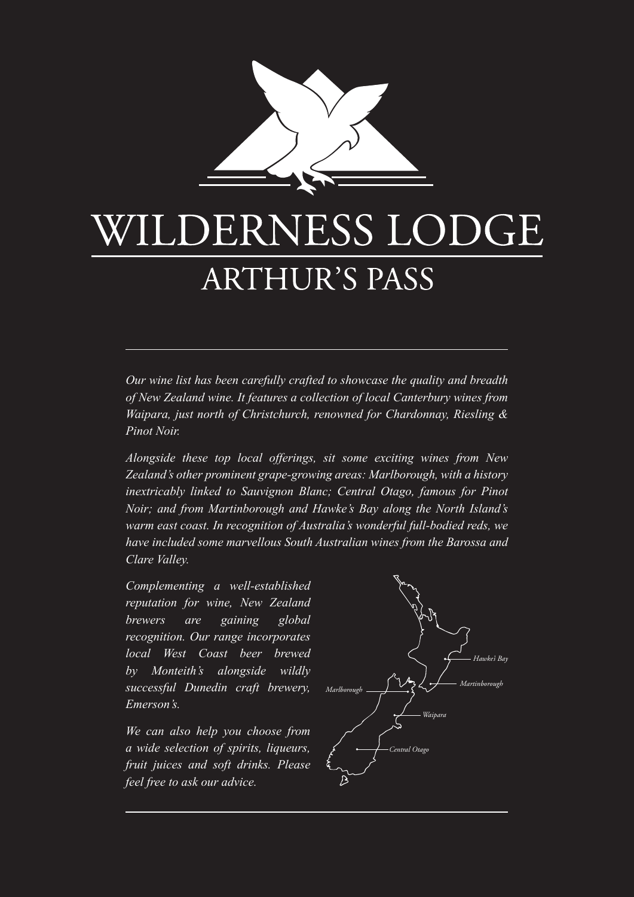

# LDERNESS LODGE **ARTHUR'S PASS**

*Our wine list has been carefully crafted to showcase the quality and breadth of New Zealand wine. It features a collection of local Canterbury wines from Waipara, just north of Christchurch, renowned for Chardonnay, Riesling & Pinot Noir.*

*Alongside these top local offerings, sit some exciting wines from New Zealand's other prominent grape-growing areas: Marlborough, with a history inextricably linked to Sauvignon Blanc; Central Otago, famous for Pinot Noir; and from Martinborough and Hawke's Bay along the North Island's warm east coast. In recognition of Australia's wonderful full-bodied reds, we have included some marvellous South Australian wines from the Barossa and Clare Valley.*

*Complementing a well-established reputation for wine, New Zealand brewers are gaining global recognition. Our range incorporates local West Coast beer brewed by Monteith's alongside wildly successful Dunedin craft brewery, Emerson's.*

*We can also help you choose from a wide selection of spirits, liqueurs, fruit juices and soft drinks. Please feel free to ask our advice.* 

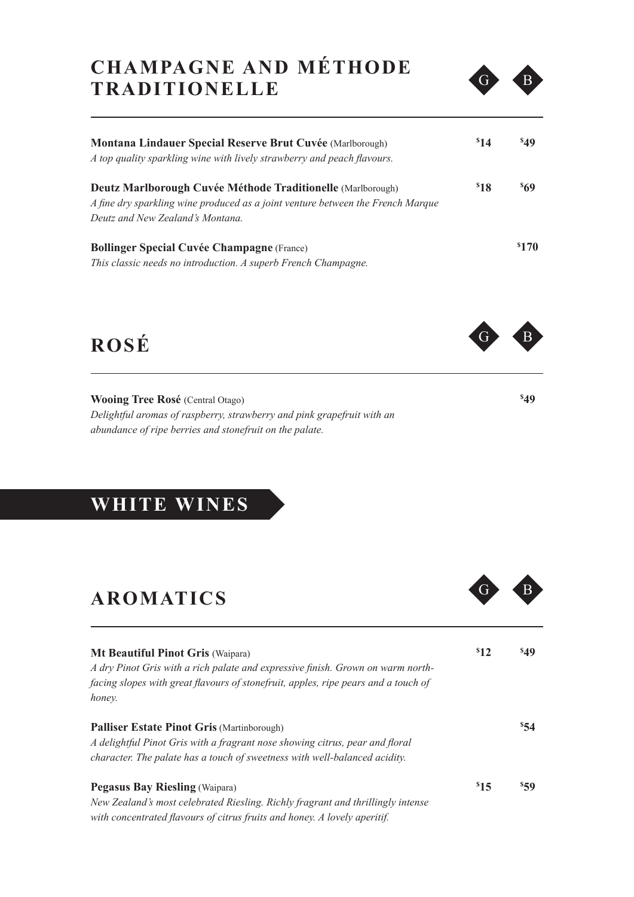### **CHAMPAGNE AND MÉTHODE TRADITIONELLE**



| <b>Montana Lindauer Special Reserve Brut Cuvée (Marlborough)</b><br>A top quality sparkling wine with lively strawberry and peach flavours.    | \$14 | <b>s</b> <sub>49</sub> |
|------------------------------------------------------------------------------------------------------------------------------------------------|------|------------------------|
| Deutz Marlborough Cuvée Méthode Traditionelle (Marlborough)<br>A fine dry sparkling wine produced as a joint venture between the French Marque | 818  | <b>869</b>             |
| Deutz and New Zealand's Montana.                                                                                                               |      |                        |
| <b>Bollinger Special Cuvée Champagne (France)</b>                                                                                              |      | \$170                  |
| This classic needs no introduction. A superb French Champagne.                                                                                 |      |                        |

**ROSÉ** 

**Wooing Tree Rosé** (Central Otago) *Delightful aromas of raspberry, strawberry and pink grapefruit with an abundance of ripe berries and stonefruit on the palate.*

### **WHITE WINES**

### **AROMATICS**

| <b>Mt Beautiful Pinot Gris (Waipara)</b><br>A dry Pinot Gris with a rich palate and expressive finish. Grown on warm north-<br>facing slopes with great flavours of stonefruit, apples, ripe pears and a touch of<br>honey. | $s_{12}$ | \$49     |
|-----------------------------------------------------------------------------------------------------------------------------------------------------------------------------------------------------------------------------|----------|----------|
| <b>Palliser Estate Pinot Gris (Martinborough)</b><br>A delightful Pinot Gris with a fragrant nose showing citrus, pear and floral<br>character. The palate has a touch of sweetness with well-balanced acidity.             |          | 854      |
| <b>Pegasus Bay Riesling (Waipara)</b><br>New Zealand's most celebrated Riesling. Richly fragrant and thrillingly intense<br>with concentrated flavours of citrus fruits and honey. A lovely aperitif.                       | $s_{15}$ | $s_{59}$ |



**\$ 49**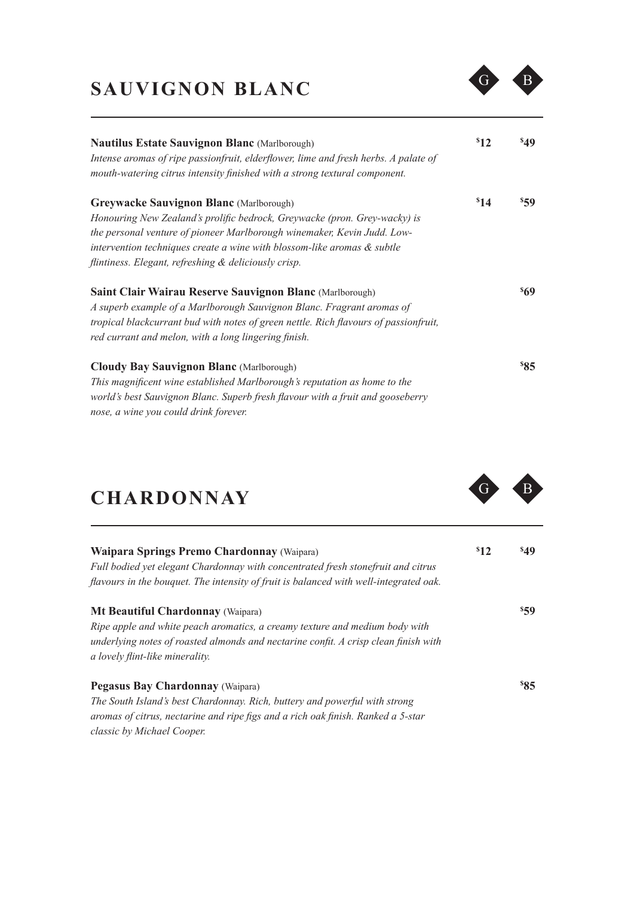## SAUVIGNON BLANC G B



| <b>Nautilus Estate Sauvignon Blanc</b> (Marlborough)<br>Intense aromas of ripe passionfruit, elderflower, lime and fresh herbs. A palate of<br>mouth-watering citrus intensity finished with a strong textural component.                                                                                                                 | 812  | <sup>\$49</sup> |
|-------------------------------------------------------------------------------------------------------------------------------------------------------------------------------------------------------------------------------------------------------------------------------------------------------------------------------------------|------|-----------------|
| <b>Greywacke Sauvignon Blanc</b> (Marlborough)<br>Honouring New Zealand's prolific bedrock, Greywacke (pron. Grey-wacky) is<br>the personal venture of pioneer Marlborough winemaker, Kevin Judd. Low-<br>intervention techniques create a wine with blossom-like aromas & subtle<br>flintiness. Elegant, refreshing & deliciously crisp. | \$14 | <sup>\$59</sup> |
| <b>Saint Clair Wairau Reserve Sauvignon Blanc</b> (Marlborough)<br>A superb example of a Marlborough Sauvignon Blanc. Fragrant aromas of<br>tropical blackcurrant bud with notes of green nettle. Rich flavours of passionfruit,<br>red currant and melon, with a long lingering finish.                                                  |      | 869             |
| <b>Cloudy Bay Sauvignon Blanc</b> (Marlborough)<br>This magnificent wine established Marlborough's reputation as home to the<br>world's best Sauvignon Blanc. Superb fresh flavour with a fruit and gooseberry<br>nose, a wine you could drink forever.                                                                                   |      | 85              |

## CHARDONNAY G B

| Waipara Springs Premo Chardonnay (Waipara)                                            | $s_{12}$ | <b>s</b> <sub>49</sub> |
|---------------------------------------------------------------------------------------|----------|------------------------|
| Full bodied yet elegant Chardonnay with concentrated fresh stonefruit and citrus      |          |                        |
| flavours in the bouquet. The intensity of fruit is balanced with well-integrated oak. |          |                        |
| <b>Mt Beautiful Chardonnay (Waipara)</b>                                              |          | $s_{59}$               |
| Ripe apple and white peach aromatics, a creamy texture and medium body with           |          |                        |
| underlying notes of roasted almonds and nectarine confit. A crisp clean finish with   |          |                        |
| a lovely flint-like minerality.                                                       |          |                        |
| <b>Pegasus Bay Chardonnay (Waipara)</b>                                               |          | 85                     |
| The South Island's best Chardonnay. Rich, buttery and powerful with strong            |          |                        |
| aromas of citrus, nectarine and ripe figs and a rich oak finish. Ranked a 5-star      |          |                        |
| classic by Michael Cooper.                                                            |          |                        |

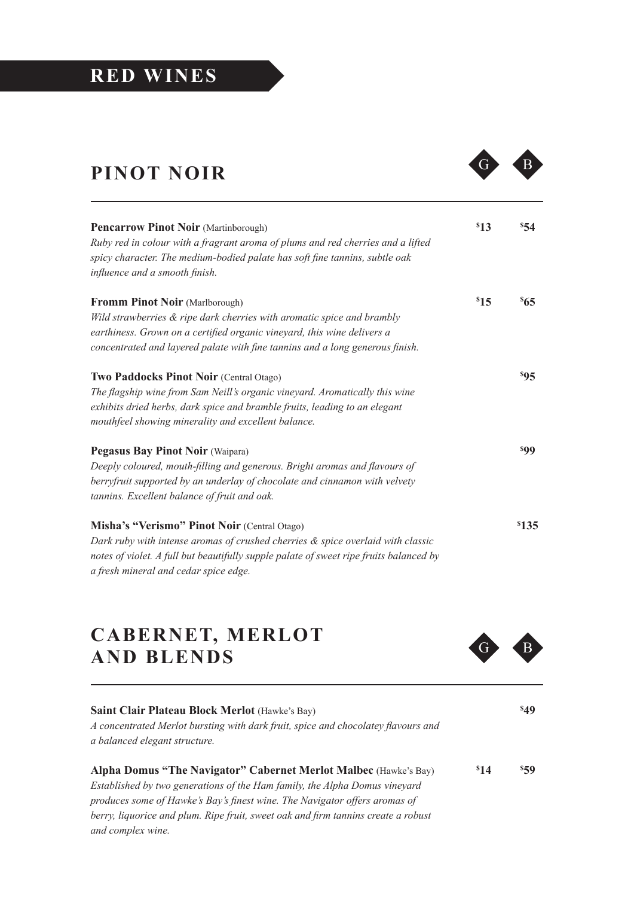#### **RED WINES**

## **PINOT NOIR**



| <b>Pencarrow Pinot Noir (Martinborough)</b>                                            | \$13 | 854           |
|----------------------------------------------------------------------------------------|------|---------------|
| Ruby red in colour with a fragrant aroma of plums and red cherries and a lifted        |      |               |
| spicy character. The medium-bodied palate has soft fine tannins, subtle oak            |      |               |
| influence and a smooth finish.                                                         |      |               |
| Fromm Pinot Noir (Marlborough)                                                         | \$15 | $^{\rm s}$ 65 |
| Wild strawberries & ripe dark cherries with aromatic spice and brambly                 |      |               |
| earthiness. Grown on a certified organic vineyard, this wine delivers a                |      |               |
| concentrated and layered palate with fine tannins and a long generous finish.          |      |               |
| Two Paddocks Pinot Noir (Central Otago)                                                |      | 895           |
| The flagship wine from Sam Neill's organic vineyard. Aromatically this wine            |      |               |
| exhibits dried herbs, dark spice and bramble fruits, leading to an elegant             |      |               |
| mouthfeel showing minerality and excellent balance.                                    |      |               |
| <b>Pegasus Bay Pinot Noir (Waipara)</b>                                                |      | 899           |
| Deeply coloured, mouth-filling and generous. Bright aromas and flavours of             |      |               |
| berryfruit supported by an underlay of chocolate and cinnamon with velvety             |      |               |
| tannins. Excellent balance of fruit and oak.                                           |      |               |
| Misha's "Verismo" Pinot Noir (Central Otago)                                           |      | \$135         |
| Dark ruby with intense aromas of crushed cherries & spice overlaid with classic        |      |               |
| notes of violet. A full but beautifully supple palate of sweet ripe fruits balanced by |      |               |
| a fresh mineral and cedar spice edge.                                                  |      |               |

#### **CABERNET, MERLOT AND BLENDS G**



| <b>Saint Clair Plateau Block Merlot</b> (Hawke's Bay)<br>A concentrated Merlot bursting with dark fruit, spice and chocolatey flavours and<br>a balanced elegant structure. |          | <b>849</b> |
|-----------------------------------------------------------------------------------------------------------------------------------------------------------------------------|----------|------------|
| Alpha Domus "The Navigator" Cabernet Merlot Malbec (Hawke's Bay)                                                                                                            | $s_{14}$ | $s_{59}$   |
| Established by two generations of the Ham family, the Alpha Domus vineyard                                                                                                  |          |            |
| produces some of Hawke's Bay's finest wine. The Navigator offers aromas of                                                                                                  |          |            |
| berry, liquorice and plum. Ripe fruit, sweet oak and firm tannins create a robust                                                                                           |          |            |

*and complex wine.*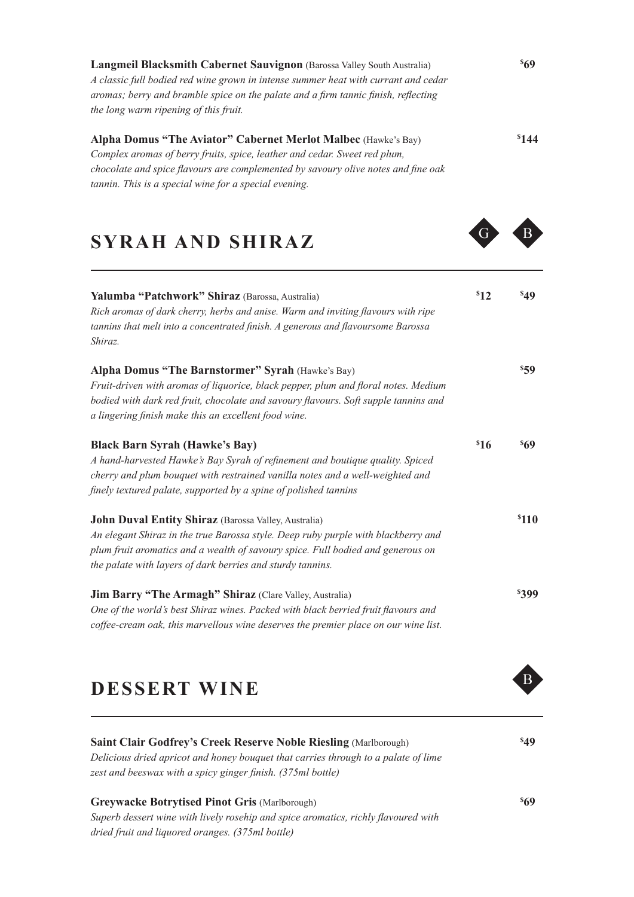**Langmeil Blacksmith Cabernet Sauvignon** (Barossa Valley South Australia) *A classic full bodied red wine grown in intense summer heat with currant and cedar aromas; berry and bramble spice on the palate and a firm tannic finish, reflecting the long warm ripening of this fruit.*

#### **Alpha Domus "The Aviator" Cabernet Merlot Malbec** (Hawke's Bay)

*Complex aromas of berry fruits, spice, leather and cedar. Sweet red plum, chocolate and spice flavours are complemented by savoury olive notes and fine oak tannin. This is a special wine for a special evening.* 

#### **SYRAH AND SHIRAZ**

| Yalumba "Patchwork" Shiraz (Barossa, Australia)<br>Rich aromas of dark cherry, herbs and anise. Warm and inviting flavours with ripe<br>tannins that melt into a concentrated finish. A generous and flavoursome Barossa<br>Shiraz. | $s_{12}$ | 849               |
|-------------------------------------------------------------------------------------------------------------------------------------------------------------------------------------------------------------------------------------|----------|-------------------|
|                                                                                                                                                                                                                                     |          |                   |
| Alpha Domus "The Barnstormer" Syrah (Hawke's Bay)                                                                                                                                                                                   |          | \$59              |
| Fruit-driven with aromas of liquorice, black pepper, plum and floral notes. Medium                                                                                                                                                  |          |                   |
| bodied with dark red fruit, chocolate and savoury flavours. Soft supple tannins and                                                                                                                                                 |          |                   |
| a lingering finish make this an excellent food wine.                                                                                                                                                                                |          |                   |
| <b>Black Barn Syrah (Hawke's Bay)</b>                                                                                                                                                                                               | \$16     | 869               |
| A hand-harvested Hawke's Bay Syrah of refinement and boutique quality. Spiced                                                                                                                                                       |          |                   |
| cherry and plum bouquet with restrained vanilla notes and a well-weighted and                                                                                                                                                       |          |                   |
| finely textured palate, supported by a spine of polished tannins                                                                                                                                                                    |          |                   |
| <b>John Duval Entity Shiraz</b> (Barossa Valley, Australia)                                                                                                                                                                         |          | <sup>\$</sup> 110 |
| An elegant Shiraz in the true Barossa style. Deep ruby purple with blackberry and                                                                                                                                                   |          |                   |
| plum fruit aromatics and a wealth of savoury spice. Full bodied and generous on                                                                                                                                                     |          |                   |
| the palate with layers of dark berries and sturdy tannins.                                                                                                                                                                          |          |                   |
| <b>Jim Barry "The Armagh" Shiraz</b> (Clare Valley, Australia)                                                                                                                                                                      |          | <b>\$399</b>      |
| One of the world's best Shiraz wines. Packed with black berried fruit flavours and                                                                                                                                                  |          |                   |
| coffee-cream oak, this marvellous wine deserves the premier place on our wine list.                                                                                                                                                 |          |                   |

### **DESSERT WINE**



*Superb dessert wine with lively rosehip and spice aromatics, richly flavoured with dried fruit and liquored oranges. (375ml bottle)*

#### **\$ 144**

**\$ 49**

**\$ 69**

**\$ 69**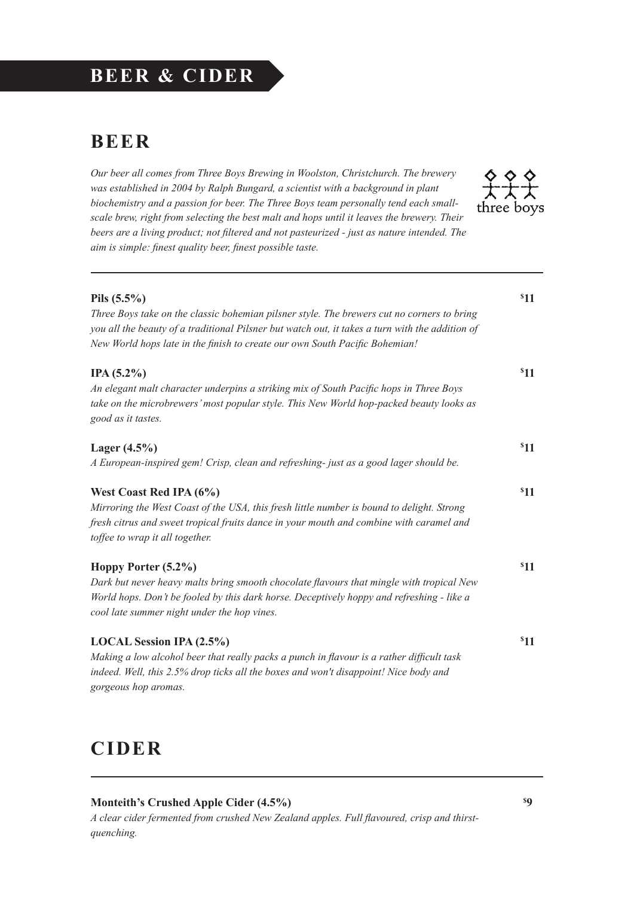#### **BEER & CIDER**

#### **BEER**

*Our beer all comes from Three Boys Brewing in Woolston, Christchurch. The brewery was established in 2004 by Ralph Bungard, a scientist with a background in plant biochemistry and a passion for beer. The Three Boys team personally tend each smallscale brew, right from selecting the best malt and hops until it leaves the brewery. Their beers are a living product; not filtered and not pasteurized - just as nature intended. The aim is simple: finest quality beer, finest possible taste.*



| Pils $(5.5\%)$<br>Three Boys take on the classic bohemian pilsner style. The brewers cut no corners to bring<br>you all the beauty of a traditional Pilsner but watch out, it takes a turn with the addition of<br>New World hops late in the finish to create our own South Pacific Bohemian! | \$11 |
|------------------------------------------------------------------------------------------------------------------------------------------------------------------------------------------------------------------------------------------------------------------------------------------------|------|
| $IPA(5.2\%)$<br>An elegant malt character underpins a striking mix of South Pacific hops in Three Boys<br>take on the microbrewers' most popular style. This New World hop-packed beauty looks as<br>good as it tastes.                                                                        | \$11 |
| Lager $(4.5\%)$<br>A European-inspired gem! Crisp, clean and refreshing-just as a good lager should be.                                                                                                                                                                                        | \$11 |
| West Coast Red IPA (6%)<br>Mirroring the West Coast of the USA, this fresh little number is bound to delight. Strong<br>fresh citrus and sweet tropical fruits dance in your mouth and combine with caramel and<br>toffee to wrap it all together.                                             | \$11 |
| Hoppy Porter (5.2%)<br>Dark but never heavy malts bring smooth chocolate flavours that mingle with tropical New<br>World hops. Don't be fooled by this dark horse. Deceptively hoppy and refreshing - like a<br>cool late summer night under the hop vines.                                    | \$11 |
| LOCAL Session IPA (2.5%)<br>Making a low alcohol beer that really packs a punch in flavour is a rather difficult task<br>indeed. Well, this 2.5% drop ticks all the boxes and won't disappoint! Nice body and<br>gorgeous hop aromas.                                                          | \$11 |

#### **CIDER**

#### **Monteith's Crushed Apple Cider (4.5%)**

*A clear cider fermented from crushed New Zealand apples. Full flavoured, crisp and thirstquenching.*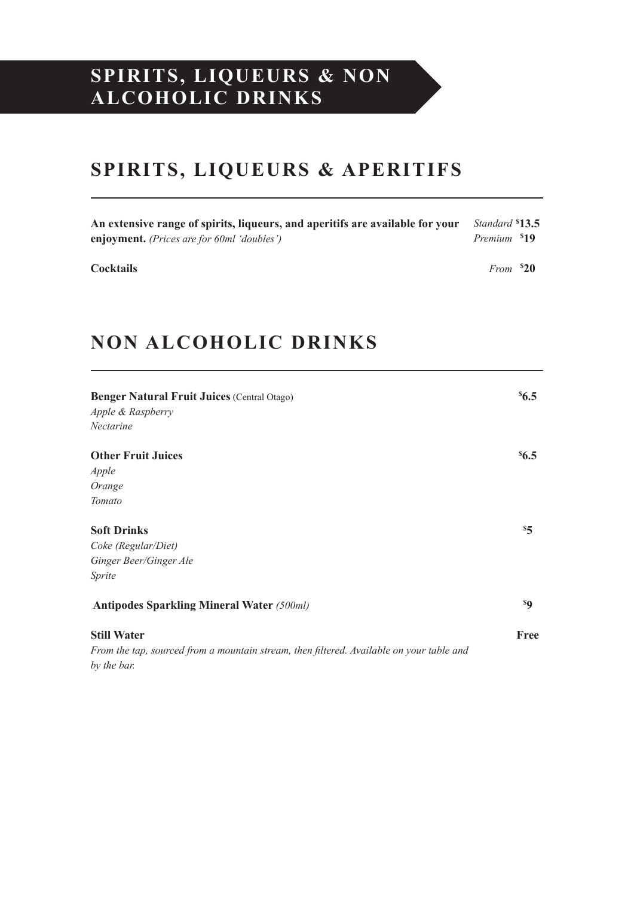#### **SPIRITS, LIQUEURS & NON ALCOHOLIC DRINKS**

#### **SPIRITS, LIQUEURS & APERITIFS**

| An extensive range of spirits, liqueurs, and aperitifs are available for your | Standard \$13.5         |  |
|-------------------------------------------------------------------------------|-------------------------|--|
| <b>enjoyment.</b> (Prices are for 60ml 'doubles')                             | Premium <sup>5</sup> 19 |  |
| <b>Cocktails</b>                                                              | $From \space ^{52}0$    |  |

### **NON ALCOHOLIC DRINKS**

| <b>Benger Natural Fruit Juices (Central Otago)</b><br>Apple & Raspberry<br><i>Nectarine</i> |                |
|---------------------------------------------------------------------------------------------|----------------|
| <b>Other Fruit Juices</b>                                                                   | $^{8}6.5$      |
| Apple                                                                                       |                |
| Orange                                                                                      |                |
| <b>Tomato</b>                                                                               |                |
| <b>Soft Drinks</b>                                                                          | $\frac{5}{5}$  |
| Coke (Regular/Diet)                                                                         |                |
| Ginger Beer/Ginger Ale                                                                      |                |
| <i>Sprite</i>                                                                               |                |
| <b>Antipodes Sparkling Mineral Water (500ml)</b>                                            | s <sub>Q</sub> |
| <b>Still Water</b>                                                                          | Free           |
| From the tap, sourced from a mountain stream, then filtered. Available on your table and    |                |
| by the bar.                                                                                 |                |